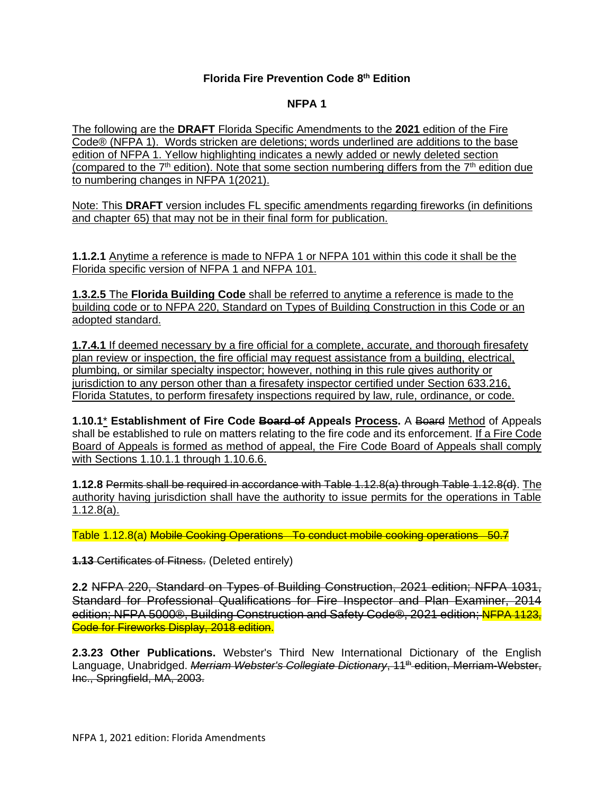## **Florida Fire Prevention Code 8 th Edition**

## **NFPA 1**

The following are the **DRAFT** Florida Specific Amendments to the **2021** edition of the Fire Code® (NFPA 1). Words stricken are deletions; words underlined are additions to the base edition of NFPA 1. Yellow highlighting indicates a newly added or newly deleted section (compared to the  $7<sup>th</sup>$  edition). Note that some section numbering differs from the  $7<sup>th</sup>$  edition due to numbering changes in NFPA 1(2021).

Note: This **DRAFT** version includes FL specific amendments regarding fireworks (in definitions and chapter 65) that may not be in their final form for publication.

**1.1.2.1** Anytime a reference is made to NFPA 1 or NFPA 101 within this code it shall be the Florida specific version of NFPA 1 and NFPA 101.

**1.3.2.5** The **Florida Building Code** shall be referred to anytime a reference is made to the building code or to NFPA 220, Standard on Types of Building Construction in this Code or an adopted standard.

**1.7.4.1** If deemed necessary by a fire official for a complete, accurate, and thorough firesafety plan review or inspection, the fire official may request assistance from a building, electrical, plumbing, or similar specialty inspector; however, nothing in this rule gives authority or jurisdiction to any person other than a firesafety inspector certified under Section 633.216, Florida Statutes, to perform firesafety inspections required by law, rule, ordinance, or code.

**1.10.1**\* **Establishment of Fire Code Board of Appeals Process.** A Board Method of Appeals shall be established to rule on matters relating to the fire code and its enforcement. If a Fire Code Board of Appeals is formed as method of appeal, the Fire Code Board of Appeals shall comply with Sections 1.10.1.1 through 1.10.6.6.

**1.12.8** Permits shall be required in accordance with Table 1.12.8(a) through Table 1.12.8(d). The authority having jurisdiction shall have the authority to issue permits for the operations in Table 1.12.8(a).

Table 1.12.8(a) Mobile Cooking Operations To conduct mobile cooking operations 50.7

**1.13** Certificates of Fitness. (Deleted entirely)

**2.2** NFPA 220, Standard on Types of Building Construction, 2021 edition; NFPA 1031, Standard for Professional Qualifications for Fire Inspector and Plan Examiner, 2014 edition; NFPA 5000®, Building Construction and Safety Code®, 2021 edition; NFPA 1123, Code for Fireworks Display, 2018 edition.

**2.3.23 Other Publications.** Webster's Third New International Dictionary of the English Language, Unabridged. *Merriam Webster's Collegiate Dictionary*, 11<sup>th</sup> edition, Merriam-Webster, Inc., Springfield, MA, 2003.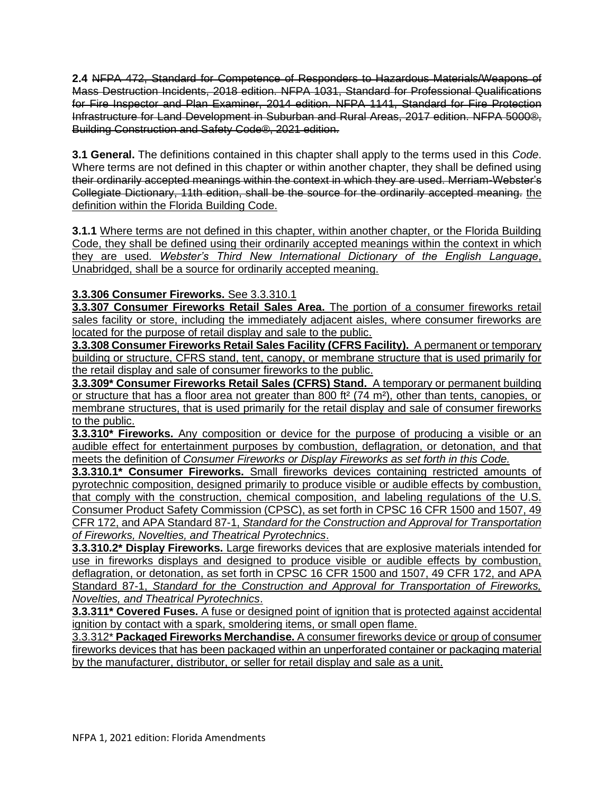**2.4** NFPA 472, Standard for Competence of Responders to Hazardous Materials/Weapons of Mass Destruction Incidents, 2018 edition. NFPA 1031, Standard for Professional Qualifications for Fire Inspector and Plan Examiner, 2014 edition. NFPA 1141, Standard for Fire Protection Infrastructure for Land Development in Suburban and Rural Areas, 2017 edition. NFPA 5000®, Building Construction and Safety Code®, 2021 edition.

**3.1 General.** The definitions contained in this chapter shall apply to the terms used in this *Code*. Where terms are not defined in this chapter or within another chapter, they shall be defined using their ordinarily accepted meanings within the context in which they are used. Merriam-Webster's Collegiate Dictionary, 11th edition, shall be the source for the ordinarily accepted meaning. the definition within the Florida Building Code.

**3.1.1** Where terms are not defined in this chapter, within another chapter, or the Florida Building Code, they shall be defined using their ordinarily accepted meanings within the context in which they are used. *Webster's Third New International Dictionary of the English Language*, Unabridged, shall be a source for ordinarily accepted meaning.

# **3.3.306 Consumer Fireworks.** See 3.3.310.1

**3.3.307 Consumer Fireworks Retail Sales Area.** The portion of a consumer fireworks retail sales facility or store, including the immediately adjacent aisles, where consumer fireworks are located for the purpose of retail display and sale to the public.

**3.3.308 Consumer Fireworks Retail Sales Facility (CFRS Facility).** A permanent or temporary building or structure, CFRS stand, tent, canopy, or membrane structure that is used primarily for the retail display and sale of consumer fireworks to the public.

**3.3.309\* Consumer Fireworks Retail Sales (CFRS) Stand.** A temporary or permanent building or structure that has a floor area not greater than 800 ft<sup>2</sup> (74 m<sup>2</sup>), other than tents, canopies, or membrane structures, that is used primarily for the retail display and sale of consumer fireworks to the public.

**3.3.310\* Fireworks.** Any composition or device for the purpose of producing a visible or an audible effect for entertainment purposes by combustion, deflagration, or detonation, and that meets the definition of *Consumer Fireworks or Display Fireworks as set forth in this Code.*

**3.3.310.1\* Consumer Fireworks.** Small fireworks devices containing restricted amounts of pyrotechnic composition, designed primarily to produce visible or audible effects by combustion, that comply with the construction, chemical composition, and labeling regulations of the U.S. Consumer Product Safety Commission (CPSC), as set forth in CPSC 16 CFR 1500 and 1507, 49 CFR 172, and APA Standard 87-1, *Standard for the Construction and Approval for Transportation of Fireworks, Novelties, and Theatrical Pyrotechnics*.

**3.3.310.2\* Display Fireworks.** Large fireworks devices that are explosive materials intended for use in fireworks displays and designed to produce visible or audible effects by combustion, deflagration, or detonation, as set forth in CPSC 16 CFR 1500 and 1507, 49 CFR 172, and APA Standard 87-1, *Standard for the Construction and Approval for Transportation of Fireworks, Novelties, and Theatrical Pyrotechnics*.

**3.3.311\* Covered Fuses.** A fuse or designed point of ignition that is protected against accidental ignition by contact with a spark, smoldering items, or small open flame.

3.3.312\* **Packaged Fireworks Merchandise.** A consumer fireworks device or group of consumer fireworks devices that has been packaged within an unperforated container or packaging material by the manufacturer, distributor, or seller for retail display and sale as a unit.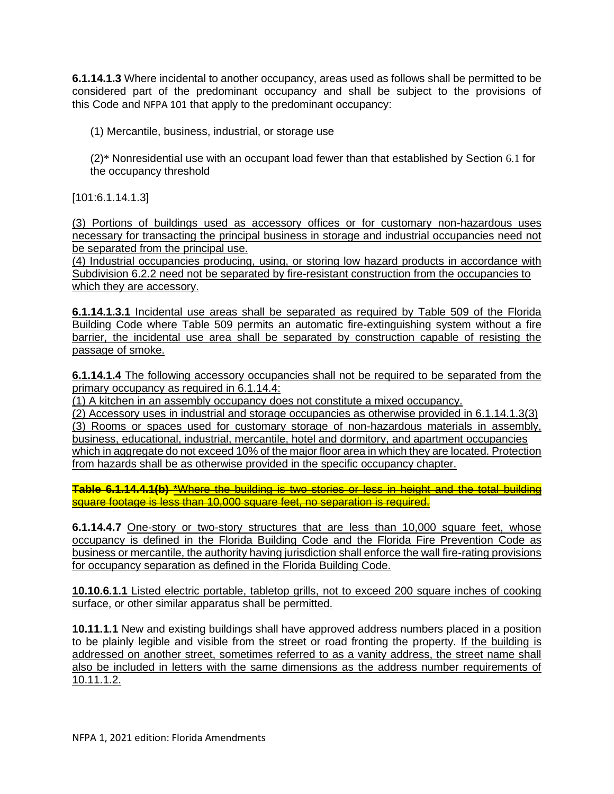**6.1.14.1.3** Where incidental to another occupancy, areas used as follows shall be permitted to be considered part of the predominant occupancy and shall be subject to the provisions of this Code and NFPA 101 that apply to the predominant occupancy:

(1) Mercantile, business, industrial, or storage use

(2)\* Nonresidential use with an occupant load fewer than that established by Section 6.1 for the occupancy threshold

[101:6.1.14.1.3]

(3) Portions of buildings used as accessory offices or for customary non-hazardous uses necessary for transacting the principal business in storage and industrial occupancies need not be separated from the principal use.

(4) Industrial occupancies producing, using, or storing low hazard products in accordance with Subdivision 6.2.2 need not be separated by fire-resistant construction from the occupancies to which they are accessory.

**6.1.14.1.3.1** Incidental use areas shall be separated as required by Table 509 of the Florida Building Code where Table 509 permits an automatic fire-extinguishing system without a fire barrier, the incidental use area shall be separated by construction capable of resisting the passage of smoke.

**6.1.14.1.4** The following accessory occupancies shall not be required to be separated from the primary occupancy as required in 6.1.14.4:

(1) A kitchen in an assembly occupancy does not constitute a mixed occupancy.

(2) Accessory uses in industrial and storage occupancies as otherwise provided in 6.1.14.1.3(3) (3) Rooms or spaces used for customary storage of non-hazardous materials in assembly, business, educational, industrial, mercantile, hotel and dormitory, and apartment occupancies which in aggregate do not exceed 10% of the major floor area in which they are located. Protection from hazards shall be as otherwise provided in the specific occupancy chapter.

**Table 6.1.14.4.1(b)** \*Where the building is two stories or less in height and the total building square footage is less than 10,000 square feet, no separation is required.

**6.1.14.4.7** One-story or two-story structures that are less than 10,000 square feet, whose occupancy is defined in the Florida Building Code and the Florida Fire Prevention Code as business or mercantile, the authority having jurisdiction shall enforce the wall fire-rating provisions for occupancy separation as defined in the Florida Building Code.

**10.10.6.1.1** Listed electric portable, tabletop grills, not to exceed 200 square inches of cooking surface, or other similar apparatus shall be permitted.

**10.11.1.1** New and existing buildings shall have approved address numbers placed in a position to be plainly legible and visible from the street or road fronting the property. If the building is addressed on another street, sometimes referred to as a vanity address, the street name shall also be included in letters with the same dimensions as the address number requirements of 10.11.1.2.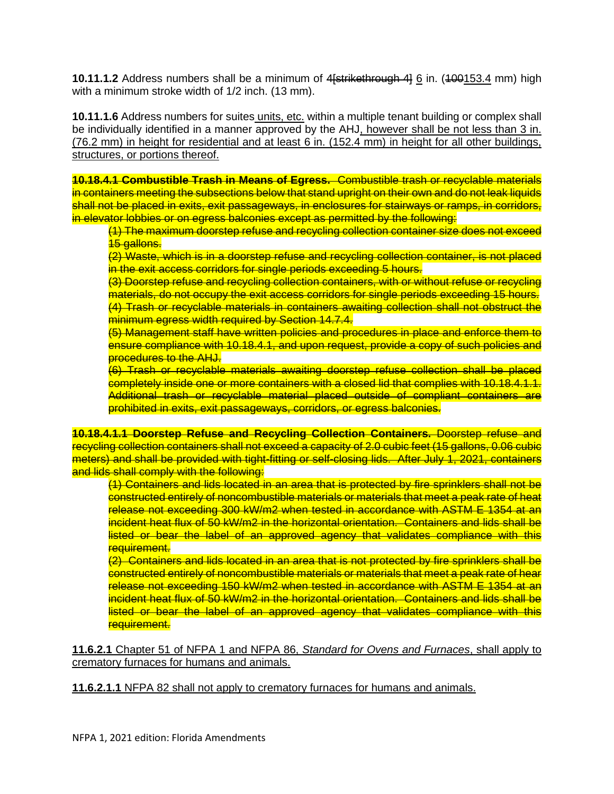**10.11.1.2** Address numbers shall be a minimum of 4<del>[strikethrough 4]</del> 6 in. (400153.4 mm) high with a minimum stroke width of 1/2 inch. (13 mm).

**10.11.1.6** Address numbers for suites units, etc. within a multiple tenant building or complex shall be individually identified in a manner approved by the AHJ, however shall be not less than 3 in. (76.2 mm) in height for residential and at least 6 in. (152.4 mm) in height for all other buildings, structures, or portions thereof.

**10.18.4.1 Combustible Trash in Means of Egress.** Combustible trash or recyclable materials in containers meeting the subsections below that stand upright on their own and do not leak liquids shall not be placed in exits, exit passageways, in enclosures for stairways or ramps, in corridors, in elevator lobbies or on egress balconies except as permitted by the following:

(1) The maximum doorstep refuse and recycling collection container size does not exceed 15 gallons.

(2) Waste, which is in a doorstep refuse and recycling collection container, is not placed in the exit access corridors for single periods exceeding 5 hours.

(3) Doorstep refuse and recycling collection containers, with or without refuse or recycling materials, do not occupy the exit access corridors for single periods exceeding 15 hours. (4) Trash or recyclable materials in containers awaiting collection shall not obstruct the minimum egress width required by Section 14.7.4.

(5) Management staff have written policies and procedures in place and enforce them to ensure compliance with 10.18.4.1, and upon request, provide a copy of such policies and **procedures to the AHJ.** 

(6) Trash or recyclable materials awaiting doorstep refuse collection shall be placed completely inside one or more containers with a closed lid that complies with 10.18.4.1.1. Additional trash or recyclable material placed outside of compliant containers are prohibited in exits, exit passageways, corridors, or egress balconies.

**10.18.4.1.1 Doorstep Refuse and Recycling Collection Containers.** Doorstep refuse and recycling collection containers shall not exceed a capacity of 2.0 cubic feet (15 gallons, 0.06 cubic meters) and shall be provided with tight-fitting or self-closing lids. After July 1, 2021, containers and lids shall comply with the following:

(1) Containers and lids located in an area that is protected by fire sprinklers shall not be constructed entirely of noncombustible materials or materials that meet a peak rate of heat release not exceeding 300 kW/m2 when tested in accordance with ASTM E 1354 at an incident heat flux of 50 kW/m2 in the horizontal orientation. Containers and lids shall be listed or bear the label of an approved agency that validates compliance with this requirement.

(2) Containers and lids located in an area that is not protected by fire sprinklers shall be constructed entirely of noncombustible materials or materials that meet a peak rate of hear release not exceeding 150 kW/m2 when tested in accordance with ASTM E 1354 at an incident heat flux of 50 kW/m2 in the horizontal orientation. Containers and lids shall be listed or bear the label of an approved agency that validates compliance with this requirement.

**11.6.2.1** Chapter 51 of NFPA 1 and NFPA 86, *Standard for Ovens and Furnaces*, shall apply to crematory furnaces for humans and animals.

**11.6.2.1.1** NFPA 82 shall not apply to crematory furnaces for humans and animals.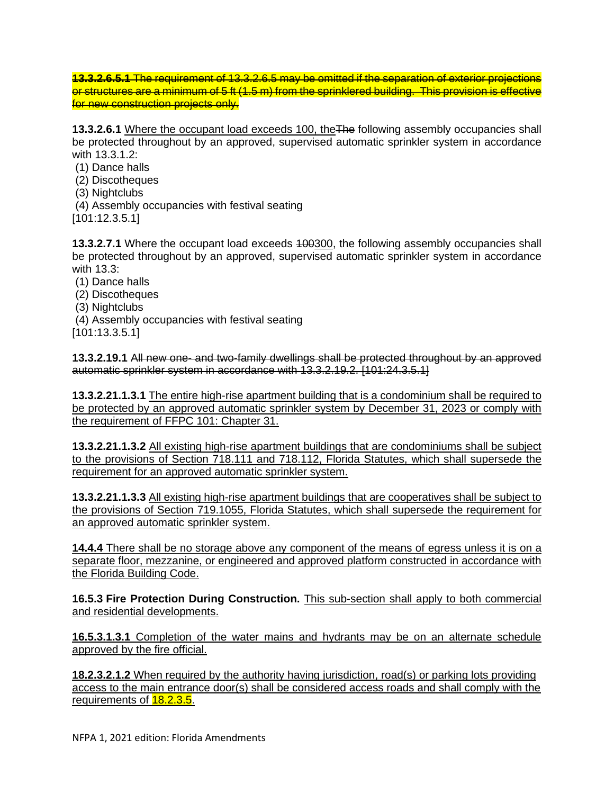**13.3.2.6.5.1** The requirement of 13.3.2.6.5 may be omitted if the separation of exterior projections or structures are a minimum of 5 ft (1.5 m) from the sprinklered building. This provision is effective for new construction projects only.

**13.3.2.6.1** Where the occupant load exceeds 100, theThe following assembly occupancies shall be protected throughout by an approved, supervised automatic sprinkler system in accordance with 13.3.1.2:

- (1) Dance halls
- (2) Discotheques
- (3) Nightclubs
- (4) Assembly occupancies with festival seating
- [101:12.3.5.1]

**13.3.2.7.1** Where the occupant load exceeds 400300, the following assembly occupancies shall be protected throughout by an approved, supervised automatic sprinkler system in accordance with 13.3:

- (1) Dance halls
- (2) Discotheques
- (3) Nightclubs
- (4) Assembly occupancies with festival seating
- [101:13.3.5.1]

**13.3.2.19.1** All new one- and two-family dwellings shall be protected throughout by an approved automatic sprinkler system in accordance with 13.3.2.19.2. [101:24.3.5.1]

**13.3.2.21.1.3.1** The entire high-rise apartment building that is a condominium shall be required to be protected by an approved automatic sprinkler system by December 31, 2023 or comply with the requirement of FFPC 101: Chapter 31.

**13.3.2.21.1.3.2** All existing high-rise apartment buildings that are condominiums shall be subject to the provisions of Section 718.111 and 718.112, Florida Statutes, which shall supersede the requirement for an approved automatic sprinkler system.

**13.3.2.21.1.3.3** All existing high-rise apartment buildings that are cooperatives shall be subject to the provisions of Section 719.1055, Florida Statutes, which shall supersede the requirement for an approved automatic sprinkler system.

**14.4.4** There shall be no storage above any component of the means of egress unless it is on a separate floor, mezzanine, or engineered and approved platform constructed in accordance with the Florida Building Code.

**16.5.3 Fire Protection During Construction.** This sub-section shall apply to both commercial and residential developments.

**16.5.3.1.3.1** Completion of the water mains and hydrants may be on an alternate schedule approved by the fire official.

**18.2.3.2.1.2** When required by the authority having jurisdiction, road(s) or parking lots providing access to the main entrance door(s) shall be considered access roads and shall comply with the requirements of **18.2.3.5**.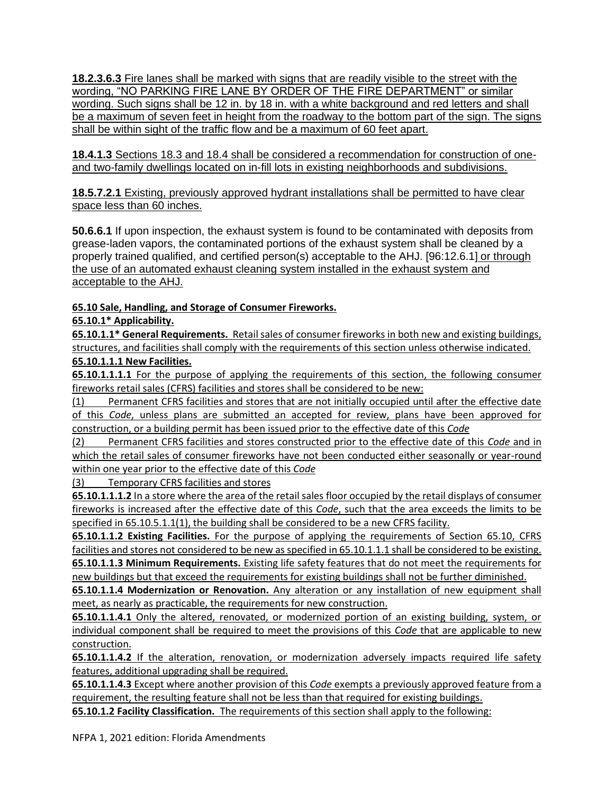**18.2.3.6.3** Fire lanes shall be marked with signs that are readily visible to the street with the wording, "NO PARKING FIRE LANE BY ORDER OF THE FIRE DEPARTMENT" or similar wording. Such signs shall be 12 in. by 18 in. with a white background and red letters and shall be a maximum of seven feet in height from the roadway to the bottom part of the sign. The signs shall be within sight of the traffic flow and be a maximum of 60 feet apart.

**18.4.1.3** Sections 18.3 and 18.4 shall be considered a recommendation for construction of oneand two-family dwellings located on in-fill lots in existing neighborhoods and subdivisions.

**18.5.7.2.1** Existing, previously approved hydrant installations shall be permitted to have clear space less than 60 inches.

**50.6.6.1** If upon inspection, the exhaust system is found to be contaminated with deposits from grease-laden vapors, the contaminated portions of the exhaust system shall be cleaned by a properly trained qualified, and certified person(s) acceptable to the AHJ. [96:12.6.1] or through the use of an automated exhaust cleaning system installed in the exhaust system and acceptable to the AHJ.

## **65.10 Sale, Handling, and Storage of Consumer Fireworks.**

### **65.10.1\* Applicability.**

**65.10.1.1\* General Requirements.** Retail sales of consumer fireworks in both new and existing buildings, structures, and facilities shall comply with the requirements of this section unless otherwise indicated.

### **65.10.1.1.1 New Facilities.**

**65.10.1.1.1.1** For the purpose of applying the requirements of this section, the following consumer fireworks retail sales (CFRS) facilities and stores shall be considered to be new:

(1) Permanent CFRS facilities and stores that are not initially occupied until after the effective date of this *Code*, unless plans are submitted an accepted for review, plans have been approved for construction, or a building permit has been issued prior to the effective date of this *Code*

(2) Permanent CFRS facilities and stores constructed prior to the effective date of this *Code* and in which the retail sales of consumer fireworks have not been conducted either seasonally or year-round within one year prior to the effective date of this *Code*

(3) Temporary CFRS facilities and stores

**65.10.1.1.1.2** In a store where the area of the retail sales floor occupied by the retail displays of consumer fireworks is increased after the effective date of this *Code*, such that the area exceeds the limits to be specified in 65.10.5.1.1(1), the building shall be considered to be a new CFRS facility.

**65.10.1.1.2 Existing Facilities.** For the purpose of applying the requirements of Section 65.10, CFRS facilities and stores not considered to be new as specified in 65.10.1.1.1 shall be considered to be existing. **65.10.1.1.3 Minimum Requirements.** Existing life safety features that do not meet the requirements for new buildings but that exceed the requirements for existing buildings shall not be further diminished.

**65.10.1.1.4 Modernization or Renovation.** Any alteration or any installation of new equipment shall meet, as nearly as practicable, the requirements for new construction.

**65.10.1.1.4.1** Only the altered, renovated, or modernized portion of an existing building, system, or individual component shall be required to meet the provisions of this *Code* that are applicable to new construction.

**65.10.1.1.4.2** If the alteration, renovation, or modernization adversely impacts required life safety features, additional upgrading shall be required.

**65.10.1.1.4.3** Except where another provision of this *Code* exempts a previously approved feature from a requirement, the resulting feature shall not be less than that required for existing buildings.

**65.10.1.2 Facility Classification.** The requirements of this section shall apply to the following: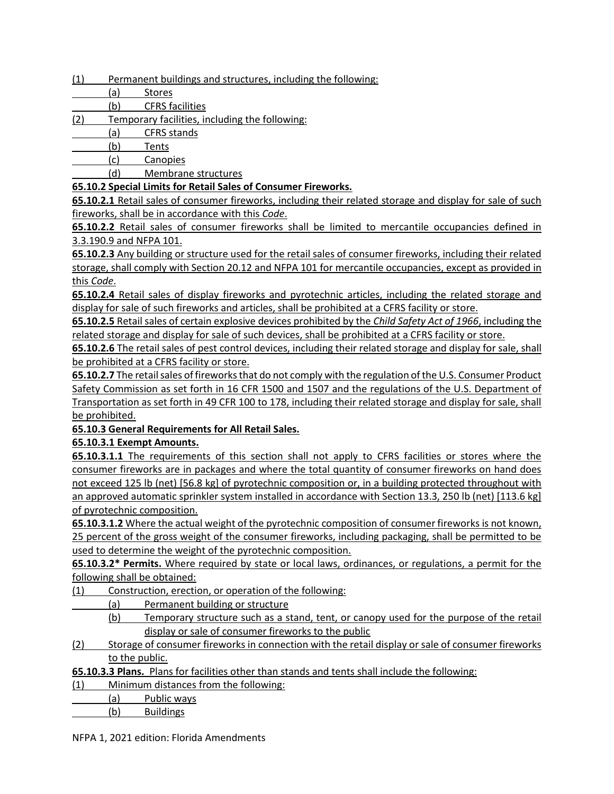- (1) Permanent buildings and structures, including the following:
- (a) Stores
- (b) CFRS facilities
- (2) Temporary facilities, including the following:
- (a) CFRS stands
- (b) Tents
- (c) Canopies
- (d) Membrane structures

### **65.10.2 Special Limits for Retail Sales of Consumer Fireworks.**

**65.10.2.1** Retail sales of consumer fireworks, including their related storage and display for sale of such fireworks, shall be in accordance with this *Code*.

**65.10.2.2** Retail sales of consumer fireworks shall be limited to mercantile occupancies defined in 3.3.190.9 and NFPA 101.

**65.10.2.3** Any building or structure used for the retail sales of consumer fireworks, including their related storage, shall comply with Section 20.12 and NFPA 101 for mercantile occupancies, except as provided in this *Code*.

**65.10.2.4** Retail sales of display fireworks and pyrotechnic articles, including the related storage and display for sale of such fireworks and articles, shall be prohibited at a CFRS facility or store.

**65.10.2.5** Retail sales of certain explosive devices prohibited by the *Child Safety Act of 1966*, including the related storage and display for sale of such devices, shall be prohibited at a CFRS facility or store.

**65.10.2.6** The retail sales of pest control devices, including their related storage and display for sale, shall be prohibited at a CFRS facility or store.

**65.10.2.7** The retail sales of fireworks that do not comply with the regulation of the U.S. Consumer Product Safety Commission as set forth in 16 CFR 1500 and 1507 and the regulations of the U.S. Department of Transportation as set forth in 49 CFR 100 to 178, including their related storage and display for sale, shall be prohibited.

### **65.10.3 General Requirements for All Retail Sales.**

**65.10.3.1 Exempt Amounts.**

**65.10.3.1.1** The requirements of this section shall not apply to CFRS facilities or stores where the consumer fireworks are in packages and where the total quantity of consumer fireworks on hand does not exceed 125 lb (net) [56.8 kg] of pyrotechnic composition or, in a building protected throughout with an approved automatic sprinkler system installed in accordance with Section 13.3, 250 lb (net) [113.6 kg] of pyrotechnic composition.

**65.10.3.1.2** Where the actual weight of the pyrotechnic composition of consumer fireworks is not known, 25 percent of the gross weight of the consumer fireworks, including packaging, shall be permitted to be used to determine the weight of the pyrotechnic composition.

**65.10.3.2\* Permits.** Where required by state or local laws, ordinances, or regulations, a permit for the following shall be obtained:

- (1) Construction, erection, or operation of the following:
	- (a) Permanent building or structure
		- (b) Temporary structure such as a stand, tent, or canopy used for the purpose of the retail display or sale of consumer fireworks to the public
- (2) Storage of consumer fireworks in connection with the retail display or sale of consumer fireworks to the public.

**65.10.3.3 Plans.** Plans for facilities other than stands and tents shall include the following:

(1) Minimum distances from the following:

(a) Public ways

(b) Buildings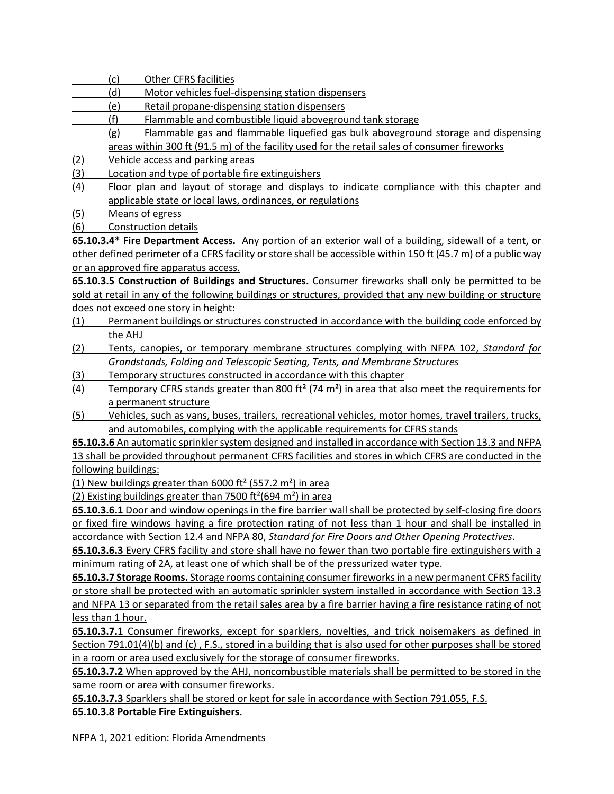(c) Other CFRS facilities

- (d) Motor vehicles fuel-dispensing station dispensers
- (e) Retail propane-dispensing station dispensers
- (f) Flammable and combustible liquid aboveground tank storage
	- (g) Flammable gas and flammable liquefied gas bulk aboveground storage and dispensing
- areas within 300 ft (91.5 m) of the facility used for the retail sales of consumer fireworks
- (2) Vehicle access and parking areas
- (3) Location and type of portable fire extinguishers
- (4) Floor plan and layout of storage and displays to indicate compliance with this chapter and applicable state or local laws, ordinances, or regulations

(5) Means of egress

(6) Construction details

**65.10.3.4\* Fire Department Access.** Any portion of an exterior wall of a building, sidewall of a tent, or other defined perimeter of a CFRS facility or store shall be accessible within 150 ft (45.7 m) of a public way or an approved fire apparatus access.

**65.10.3.5 Construction of Buildings and Structures.** Consumer fireworks shall only be permitted to be sold at retail in any of the following buildings or structures, provided that any new building or structure does not exceed one story in height:

- (1) Permanent buildings or structures constructed in accordance with the building code enforced by the AHJ
- (2) Tents, canopies, or temporary membrane structures complying with NFPA 102, *Standard for Grandstands, Folding and Telescopic Seating, Tents, and Membrane Structures*
- (3) Temporary structures constructed in accordance with this chapter
- (4) Temporary CFRS stands greater than 800 ft² (74 m²) in area that also meet the requirements for a permanent structure
- (5) Vehicles, such as vans, buses, trailers, recreational vehicles, motor homes, travel trailers, trucks, and automobiles, complying with the applicable requirements for CFRS stands

**65.10.3.6** An automatic sprinkler system designed and installed in accordance with Section 13.3 and NFPA 13 shall be provided throughout permanent CFRS facilities and stores in which CFRS are conducted in the following buildings:

(1) New buildings greater than 6000 ft<sup>2</sup> (557.2 m<sup>2</sup>) in area

(2) Existing buildings greater than 7500 ft<sup>2</sup>(694 m<sup>2</sup>) in area

**65.10.3.6.1** Door and window openings in the fire barrier wall shall be protected by self-closing fire doors or fixed fire windows having a fire protection rating of not less than 1 hour and shall be installed in accordance with Section 12.4 and NFPA 80, *Standard for Fire Doors and Other Opening Protectives*.

**65.10.3.6.3** Every CFRS facility and store shall have no fewer than two portable fire extinguishers with a minimum rating of 2A, at least one of which shall be of the pressurized water type.

**65.10.3.7 Storage Rooms.** Storage rooms containing consumer fireworks in a new permanent CFRS facility or store shall be protected with an automatic sprinkler system installed in accordance with Section 13.3 and NFPA 13 or separated from the retail sales area by a fire barrier having a fire resistance rating of not less than 1 hour.

**65.10.3.7.1** Consumer fireworks, except for sparklers, novelties, and trick noisemakers as defined in Section 791.01(4)(b) and (c) , F.S., stored in a building that is also used for other purposes shall be stored in a room or area used exclusively for the storage of consumer fireworks.

**65.10.3.7.2** When approved by the AHJ, noncombustible materials shall be permitted to be stored in the same room or area with consumer fireworks.

**65.10.3.7.3** Sparklers shall be stored or kept for sale in accordance with Section 791.055, F.S. **65.10.3.8 Portable Fire Extinguishers.**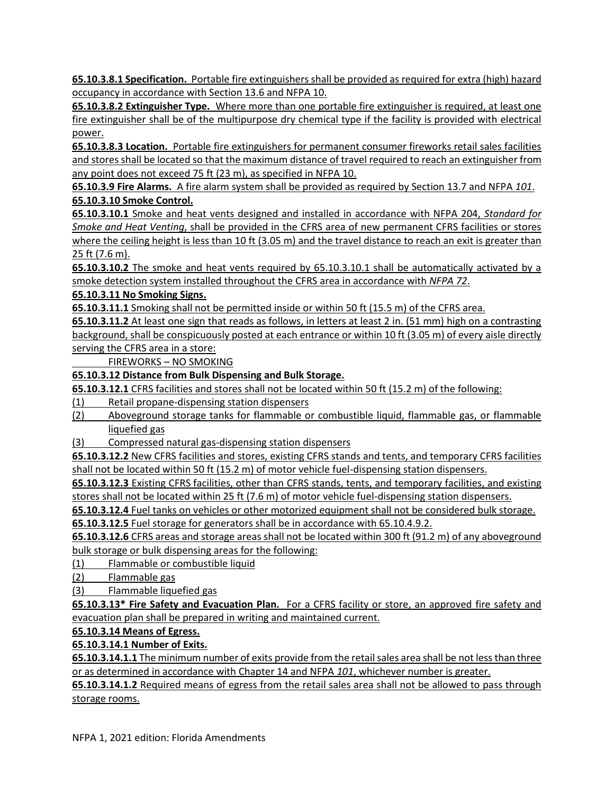**65.10.3.8.1 Specification.** Portable fire extinguishers shall be provided as required for extra (high) hazard occupancy in accordance with Section 13.6 and NFPA 10.

**65.10.3.8.2 Extinguisher Type.** Where more than one portable fire extinguisher is required, at least one fire extinguisher shall be of the multipurpose dry chemical type if the facility is provided with electrical power.

**65.10.3.8.3 Location.** Portable fire extinguishers for permanent consumer fireworks retail sales facilities and stores shall be located so that the maximum distance of travel required to reach an extinguisher from any point does not exceed 75 ft (23 m), as specified in NFPA 10.

**65.10.3.9 Fire Alarms.** A fire alarm system shall be provided as required by Section 13.7 and NFPA *101*. **65.10.3.10 Smoke Control.**

**65.10.3.10.1** Smoke and heat vents designed and installed in accordance with NFPA 204, *Standard for Smoke and Heat Venting*, shall be provided in the CFRS area of new permanent CFRS facilities or stores where the ceiling height is less than 10 ft (3.05 m) and the travel distance to reach an exit is greater than 25 ft (7.6 m).

**65.10.3.10.2** The smoke and heat vents required by 65.10.3.10.1 shall be automatically activated by a smoke detection system installed throughout the CFRS area in accordance with *NFPA 72*.

## **65.10.3.11 No Smoking Signs.**

**65.10.3.11.1** Smoking shall not be permitted inside or within 50 ft (15.5 m) of the CFRS area.

**65.10.3.11.2** At least one sign that reads as follows, in letters at least 2 in. (51 mm) high on a contrasting background, shall be conspicuously posted at each entrance or within 10 ft (3.05 m) of every aisle directly serving the CFRS area in a store:

FIREWORKS – NO SMOKING

## **65.10.3.12 Distance from Bulk Dispensing and Bulk Storage.**

**65.10.3.12.1** CFRS facilities and stores shall not be located within 50 ft (15.2 m) of the following:

- (1) Retail propane-dispensing station dispensers
- (2) Aboveground storage tanks for flammable or combustible liquid, flammable gas, or flammable liquefied gas
- (3) Compressed natural gas-dispensing station dispensers

**65.10.3.12.2** New CFRS facilities and stores, existing CFRS stands and tents, and temporary CFRS facilities shall not be located within 50 ft (15.2 m) of motor vehicle fuel-dispensing station dispensers.

**65.10.3.12.3** Existing CFRS facilities, other than CFRS stands, tents, and temporary facilities, and existing stores shall not be located within 25 ft (7.6 m) of motor vehicle fuel-dispensing station dispensers.

**65.10.3.12.4** Fuel tanks on vehicles or other motorized equipment shall not be considered bulk storage.

**65.10.3.12.5** Fuel storage for generators shall be in accordance with 65.10.4.9.2.

**65.10.3.12.6** CFRS areas and storage areas shall not be located within 300 ft (91.2 m) of any aboveground bulk storage or bulk dispensing areas for the following:

(1) Flammable or combustible liquid

(2) Flammable gas

(3) Flammable liquefied gas

**65.10.3.13\* Fire Safety and Evacuation Plan.** For a CFRS facility or store, an approved fire safety and evacuation plan shall be prepared in writing and maintained current.

## **65.10.3.14 Means of Egress.**

### **65.10.3.14.1 Number of Exits.**

**65.10.3.14.1.1** The minimum number of exits provide from the retail sales area shall be not less than three or as determined in accordance with Chapter 14 and NFPA *101*, whichever number is greater.

**65.10.3.14.1.2** Required means of egress from the retail sales area shall not be allowed to pass through storage rooms.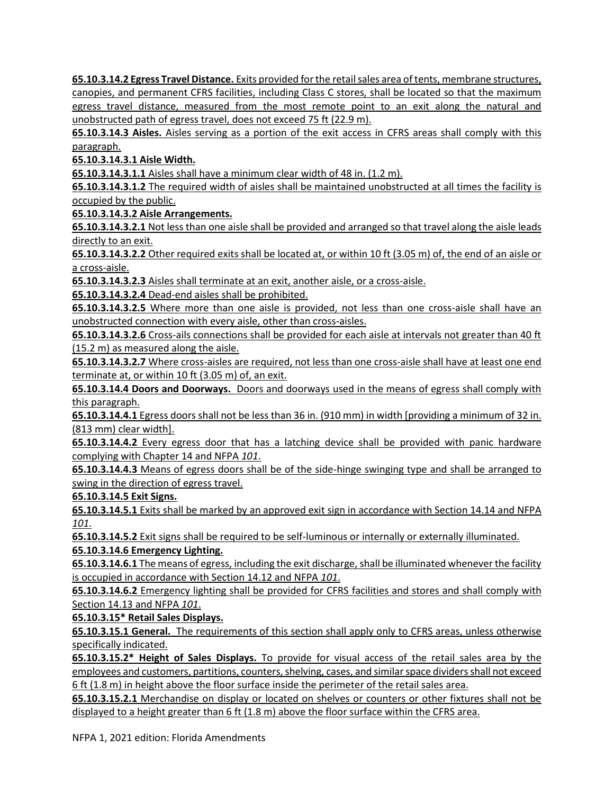**65.10.3.14.2 Egress Travel Distance.** Exits provided for the retail sales area of tents, membrane structures, canopies, and permanent CFRS facilities, including Class C stores, shall be located so that the maximum egress travel distance, measured from the most remote point to an exit along the natural and unobstructed path of egress travel, does not exceed 75 ft (22.9 m).

**65.10.3.14.3 Aisles.** Aisles serving as a portion of the exit access in CFRS areas shall comply with this paragraph.

**65.10.3.14.3.1 Aisle Width.**

**65.10.3.14.3.1.1** Aisles shall have a minimum clear width of 48 in. (1.2 m).

**65.10.3.14.3.1.2** The required width of aisles shall be maintained unobstructed at all times the facility is occupied by the public.

**65.10.3.14.3.2 Aisle Arrangements.**

**65.10.3.14.3.2.1** Not less than one aisle shall be provided and arranged so that travel along the aisle leads directly to an exit.

**65.10.3.14.3.2.2** Other required exits shall be located at, or within 10 ft (3.05 m) of, the end of an aisle or a cross-aisle.

**65.10.3.14.3.2.3** Aisles shall terminate at an exit, another aisle, or a cross-aisle.

**65.10.3.14.3.2.4** Dead-end aisles shall be prohibited.

**65.10.3.14.3.2.5** Where more than one aisle is provided, not less than one cross-aisle shall have an unobstructed connection with every aisle, other than cross-aisles.

**65.10.3.14.3.2.6** Cross-ails connections shall be provided for each aisle at intervals not greater than 40 ft (15.2 m) as measured along the aisle.

**65.10.3.14.3.2.7** Where cross-aisles are required, not less than one cross-aisle shall have at least one end terminate at, or within 10 ft (3.05 m) of, an exit.

**65.10.3.14.4 Doors and Doorways.** Doors and doorways used in the means of egress shall comply with this paragraph.

**65.10.3.14.4.1** Egress doors shall not be less than 36 in. (910 mm) in width [providing a minimum of 32 in. (813 mm) clear width].

**65.10.3.14.4.2** Every egress door that has a latching device shall be provided with panic hardware complying with Chapter 14 and NFPA *101*.

**65.10.3.14.4.3** Means of egress doors shall be of the side-hinge swinging type and shall be arranged to swing in the direction of egress travel.

**65.10.3.14.5 Exit Signs.**

**65.10.3.14.5.1** Exits shall be marked by an approved exit sign in accordance with Section 14.14 and NFPA *101*.

**65.10.3.14.5.2** Exit signs shall be required to be self-luminous or internally or externally illuminated.

**65.10.3.14.6 Emergency Lighting.**

**65.10.3.14.6.1** The means of egress, including the exit discharge, shall be illuminated whenever the facility is occupied in accordance with Section 14.12 and NFPA *101*.

**65.10.3.14.6.2** Emergency lighting shall be provided for CFRS facilities and stores and shall comply with Section 14.13 and NFPA *101*.

**65.10.3.15\* Retail Sales Displays.**

**65.10.3.15.1 General.** The requirements of this section shall apply only to CFRS areas, unless otherwise specifically indicated.

**65.10.3.15.2\* Height of Sales Displays.** To provide for visual access of the retail sales area by the employees and customers, partitions, counters, shelving, cases, and similar space dividers shall not exceed 6 ft (1.8 m) in height above the floor surface inside the perimeter of the retail sales area.

**65.10.3.15.2.1** Merchandise on display or located on shelves or counters or other fixtures shall not be displayed to a height greater than 6 ft (1.8 m) above the floor surface within the CFRS area.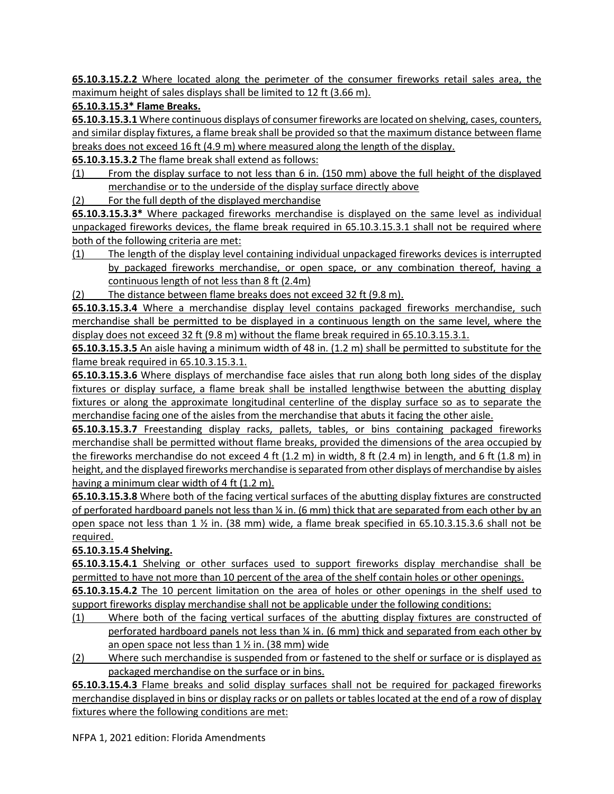**65.10.3.15.2.2** Where located along the perimeter of the consumer fireworks retail sales area, the maximum height of sales displays shall be limited to 12 ft (3.66 m).

**65.10.3.15.3\* Flame Breaks.**

**65.10.3.15.3.1** Where continuous displays of consumer fireworks are located on shelving, cases, counters, and similar display fixtures, a flame break shall be provided so that the maximum distance between flame breaks does not exceed 16 ft (4.9 m) where measured along the length of the display.

**65.10.3.15.3.2** The flame break shall extend as follows:

- (1) From the display surface to not less than 6 in. (150 mm) above the full height of the displayed merchandise or to the underside of the display surface directly above
- (2) For the full depth of the displayed merchandise

**65.10.3.15.3.3\*** Where packaged fireworks merchandise is displayed on the same level as individual unpackaged fireworks devices, the flame break required in 65.10.3.15.3.1 shall not be required where both of the following criteria are met:

- (1) The length of the display level containing individual unpackaged fireworks devices is interrupted by packaged fireworks merchandise, or open space, or any combination thereof, having a continuous length of not less than 8 ft (2.4m)
- (2) The distance between flame breaks does not exceed 32 ft (9.8 m).

**65.10.3.15.3.4** Where a merchandise display level contains packaged fireworks merchandise, such merchandise shall be permitted to be displayed in a continuous length on the same level, where the display does not exceed 32 ft (9.8 m) without the flame break required in 65.10.3.15.3.1.

**65.10.3.15.3.5** An aisle having a minimum width of 48 in. (1.2 m) shall be permitted to substitute for the flame break required in 65.10.3.15.3.1.

**65.10.3.15.3.6** Where displays of merchandise face aisles that run along both long sides of the display fixtures or display surface, a flame break shall be installed lengthwise between the abutting display fixtures or along the approximate longitudinal centerline of the display surface so as to separate the merchandise facing one of the aisles from the merchandise that abuts it facing the other aisle.

**65.10.3.15.3.7** Freestanding display racks, pallets, tables, or bins containing packaged fireworks merchandise shall be permitted without flame breaks, provided the dimensions of the area occupied by the fireworks merchandise do not exceed 4 ft (1.2 m) in width, 8 ft (2.4 m) in length, and 6 ft (1.8 m) in height, and the displayed fireworks merchandise is separated from other displays of merchandise by aisles having a minimum clear width of 4 ft (1.2 m).

**65.10.3.15.3.8** Where both of the facing vertical surfaces of the abutting display fixtures are constructed of perforated hardboard panels not less than 1/4 in. (6 mm) thick that are separated from each other by an open space not less than 1 ½ in. (38 mm) wide, a flame break specified in 65.10.3.15.3.6 shall not be required.

### **65.10.3.15.4 Shelving.**

**65.10.3.15.4.1** Shelving or other surfaces used to support fireworks display merchandise shall be permitted to have not more than 10 percent of the area of the shelf contain holes or other openings.

**65.10.3.15.4.2** The 10 percent limitation on the area of holes or other openings in the shelf used to support fireworks display merchandise shall not be applicable under the following conditions:

- (1) Where both of the facing vertical surfaces of the abutting display fixtures are constructed of perforated hardboard panels not less than ¼ in. (6 mm) thick and separated from each other by an open space not less than  $1 \frac{1}{2}$  in. (38 mm) wide
- (2) Where such merchandise is suspended from or fastened to the shelf or surface or is displayed as packaged merchandise on the surface or in bins.

**65.10.3.15.4.3** Flame breaks and solid display surfaces shall not be required for packaged fireworks merchandise displayed in bins or display racks or on pallets or tables located at the end of a row of display fixtures where the following conditions are met: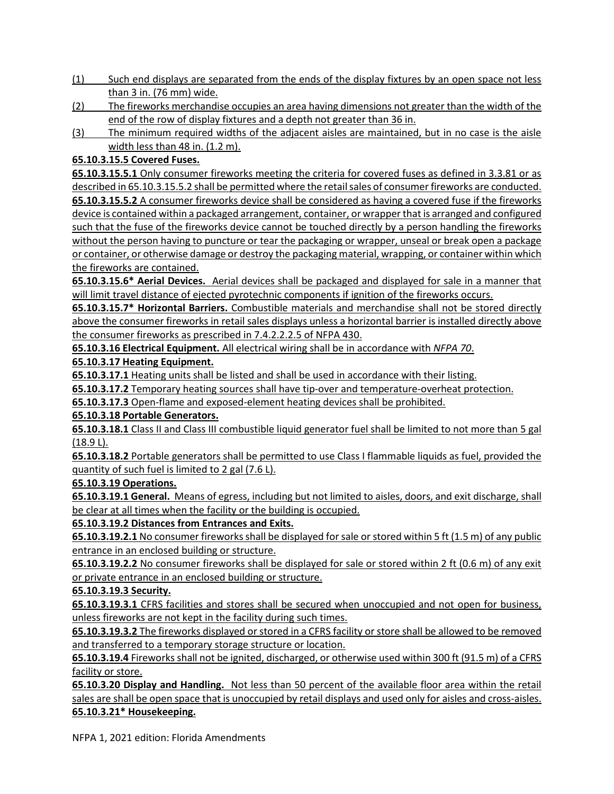- (1) Such end displays are separated from the ends of the display fixtures by an open space not less than 3 in. (76 mm) wide.
- (2) The fireworks merchandise occupies an area having dimensions not greater than the width of the end of the row of display fixtures and a depth not greater than 36 in.
- (3) The minimum required widths of the adjacent aisles are maintained, but in no case is the aisle width less than 48 in. (1.2 m).

## **65.10.3.15.5 Covered Fuses.**

**65.10.3.15.5.1** Only consumer fireworks meeting the criteria for covered fuses as defined in 3.3.81 or as described in 65.10.3.15.5.2 shall be permitted where the retail sales of consumer fireworks are conducted. **65.10.3.15.5.2** A consumer fireworks device shall be considered as having a covered fuse if the fireworks device is contained within a packaged arrangement, container, or wrapper that is arranged and configured such that the fuse of the fireworks device cannot be touched directly by a person handling the fireworks without the person having to puncture or tear the packaging or wrapper, unseal or break open a package or container, or otherwise damage or destroy the packaging material, wrapping, or container within which the fireworks are contained.

**65.10.3.15.6\* Aerial Devices.** Aerial devices shall be packaged and displayed for sale in a manner that will limit travel distance of ejected pyrotechnic components if ignition of the fireworks occurs.

**65.10.3.15.7\* Horizontal Barriers.** Combustible materials and merchandise shall not be stored directly above the consumer fireworks in retail sales displays unless a horizontal barrier is installed directly above the consumer fireworks as prescribed in 7.4.2.2.2.5 of NFPA 430.

**65.10.3.16 Electrical Equipment.** All electrical wiring shall be in accordance with *NFPA 70*.

### **65.10.3.17 Heating Equipment.**

**65.10.3.17.1** Heating units shall be listed and shall be used in accordance with their listing.

**65.10.3.17.2** Temporary heating sources shall have tip-over and temperature-overheat protection.

**65.10.3.17.3** Open-flame and exposed-element heating devices shall be prohibited.

### **65.10.3.18 Portable Generators.**

**65.10.3.18.1** Class II and Class III combustible liquid generator fuel shall be limited to not more than 5 gal (18.9 L).

**65.10.3.18.2** Portable generators shall be permitted to use Class I flammable liquids as fuel, provided the quantity of such fuel is limited to 2 gal (7.6 L).

### **65.10.3.19 Operations.**

**65.10.3.19.1 General.** Means of egress, including but not limited to aisles, doors, and exit discharge, shall be clear at all times when the facility or the building is occupied.

### **65.10.3.19.2 Distances from Entrances and Exits.**

**65.10.3.19.2.1** No consumer fireworks shall be displayed for sale or stored within 5 ft (1.5 m) of any public entrance in an enclosed building or structure.

**65.10.3.19.2.2** No consumer fireworks shall be displayed for sale or stored within 2 ft (0.6 m) of any exit or private entrance in an enclosed building or structure.

### **65.10.3.19.3 Security.**

**65.10.3.19.3.1** CFRS facilities and stores shall be secured when unoccupied and not open for business, unless fireworks are not kept in the facility during such times.

**65.10.3.19.3.2** The fireworks displayed or stored in a CFRS facility or store shall be allowed to be removed and transferred to a temporary storage structure or location.

**65.10.3.19.4** Fireworks shall not be ignited, discharged, or otherwise used within 300 ft (91.5 m) of a CFRS facility or store.

**65.10.3.20 Display and Handling.** Not less than 50 percent of the available floor area within the retail sales are shall be open space that is unoccupied by retail displays and used only for aisles and cross-aisles. **65.10.3.21\* Housekeeping.**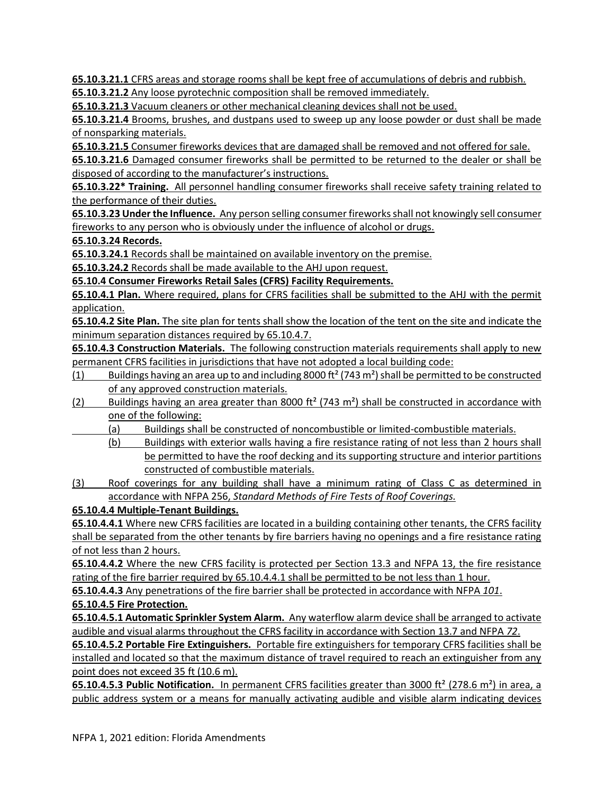**65.10.3.21.1** CFRS areas and storage rooms shall be kept free of accumulations of debris and rubbish.

**65.10.3.21.2** Any loose pyrotechnic composition shall be removed immediately.

**65.10.3.21.3** Vacuum cleaners or other mechanical cleaning devices shall not be used.

**65.10.3.21.4** Brooms, brushes, and dustpans used to sweep up any loose powder or dust shall be made of nonsparking materials.

**65.10.3.21.5** Consumer fireworks devices that are damaged shall be removed and not offered for sale.

**65.10.3.21.6** Damaged consumer fireworks shall be permitted to be returned to the dealer or shall be disposed of according to the manufacturer's instructions.

**65.10.3.22\* Training.** All personnel handling consumer fireworks shall receive safety training related to the performance of their duties.

**65.10.3.23 Under the Influence.** Any person selling consumer fireworks shall not knowingly sell consumer fireworks to any person who is obviously under the influence of alcohol or drugs.

**65.10.3.24 Records.**

**65.10.3.24.1** Records shall be maintained on available inventory on the premise.

**65.10.3.24.2** Records shall be made available to the AHJ upon request.

**65.10.4 Consumer Fireworks Retail Sales (CFRS) Facility Requirements.**

**65.10.4.1 Plan.** Where required, plans for CFRS facilities shall be submitted to the AHJ with the permit application.

**65.10.4.2 Site Plan.** The site plan for tents shall show the location of the tent on the site and indicate the minimum separation distances required by 65.10.4.7.

**65.10.4.3 Construction Materials.** The following construction materials requirements shall apply to new permanent CFRS facilities in jurisdictions that have not adopted a local building code:

- (1) Buildings having an area up to and including 8000 ft<sup>2</sup> (743 m<sup>2</sup>) shall be permitted to be constructed of any approved construction materials.
- (2) Buildings having an area greater than 8000 ft<sup>2</sup> (743 m<sup>2</sup>) shall be constructed in accordance with one of the following:
	- (a) Buildings shall be constructed of noncombustible or limited-combustible materials.
		- (b) Buildings with exterior walls having a fire resistance rating of not less than 2 hours shall be permitted to have the roof decking and its supporting structure and interior partitions constructed of combustible materials.
- (3) Roof coverings for any building shall have a minimum rating of Class C as determined in accordance with NFPA 256, *Standard Methods of Fire Tests of Roof Coverings.*

## **65.10.4.4 Multiple-Tenant Buildings.**

**65.10.4.4.1** Where new CFRS facilities are located in a building containing other tenants, the CFRS facility shall be separated from the other tenants by fire barriers having no openings and a fire resistance rating of not less than 2 hours.

**65.10.4.4.2** Where the new CFRS facility is protected per Section 13.3 and NFPA 13, the fire resistance rating of the fire barrier required by 65.10.4.4.1 shall be permitted to be not less than 1 hour.

**65.10.4.4.3** Any penetrations of the fire barrier shall be protected in accordance with NFPA *101*.

## **65.10.4.5 Fire Protection.**

**65.10.4.5.1 Automatic Sprinkler System Alarm.** Any waterflow alarm device shall be arranged to activate audible and visual alarms throughout the CFRS facility in accordance with Section 13.7 and NFPA *72*.

**65.10.4.5.2 Portable Fire Extinguishers.** Portable fire extinguishers for temporary CFRS facilities shall be installed and located so that the maximum distance of travel required to reach an extinguisher from any point does not exceed 35 ft (10.6 m).

**65.10.4.5.3 Public Notification.** In permanent CFRS facilities greater than 3000 ft² (278.6 m²) in area, a public address system or a means for manually activating audible and visible alarm indicating devices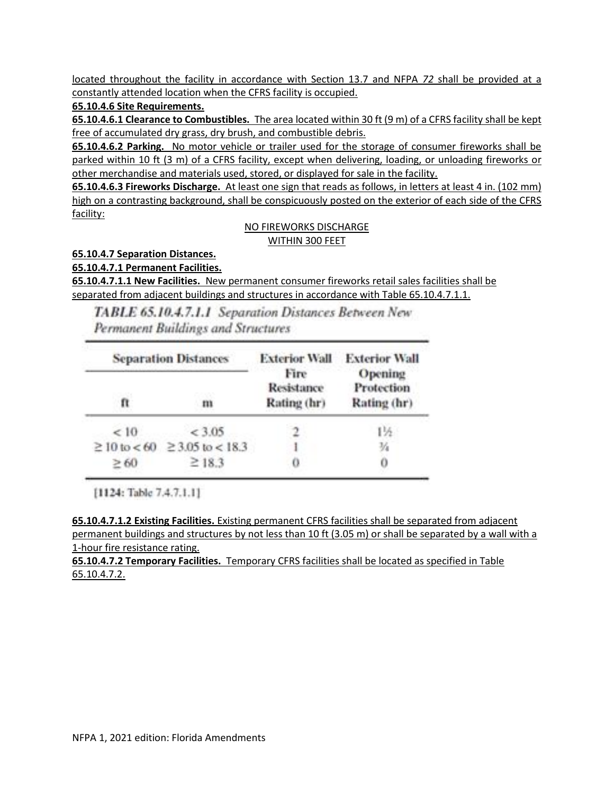located throughout the facility in accordance with Section 13.7 and NFPA *72* shall be provided at a constantly attended location when the CFRS facility is occupied.

**65.10.4.6 Site Requirements.**

**65.10.4.6.1 Clearance to Combustibles.** The area located within 30 ft (9 m) of a CFRS facility shall be kept free of accumulated dry grass, dry brush, and combustible debris.

**65.10.4.6.2 Parking.** No motor vehicle or trailer used for the storage of consumer fireworks shall be parked within 10 ft (3 m) of a CFRS facility, except when delivering, loading, or unloading fireworks or other merchandise and materials used, stored, or displayed for sale in the facility.

**65.10.4.6.3 Fireworks Discharge.** At least one sign that reads as follows, in letters at least 4 in. (102 mm) high on a contrasting background, shall be conspicuously posted on the exterior of each side of the CFRS facility:

#### NO FIREWORKS DISCHARGE WITHIN 300 FEET

**65.10.4.7 Separation Distances.**

**65.10.4.7.1 Permanent Facilities.**

**65.10.4.7.1.1 New Facilities.** New permanent consumer fireworks retail sales facilities shall be separated from adjacent buildings and structures in accordance with Table 65.10.4.7.1.1.

TABLE 65.10.4.7.1.1 Separation Distances Between New Permanent Buildings and Structures

|           | <b>Separation Distances</b>             | <b>Exterior Wall</b>              | <b>Exterior Wall</b>                 |  |  |
|-----------|-----------------------------------------|-----------------------------------|--------------------------------------|--|--|
| ft        | m                                       | Fire<br>Resistance<br>Rating (hr) | Opening<br>Protection<br>Rating (hr) |  |  |
| < 10      | <3.05                                   |                                   | 1½                                   |  |  |
|           | $\geq 10$ to < 60 $\geq 3.05$ to < 18.3 |                                   | 玷                                    |  |  |
| $\geq 60$ | $\geq$ 18.3                             | o                                 | 0                                    |  |  |

[1124: Table 7.4.7.1.1]

**65.10.4.7.1.2 Existing Facilities.** Existing permanent CFRS facilities shall be separated from adjacent permanent buildings and structures by not less than 10 ft (3.05 m) or shall be separated by a wall with a 1-hour fire resistance rating.

**65.10.4.7.2 Temporary Facilities.** Temporary CFRS facilities shall be located as specified in Table 65.10.4.7.2.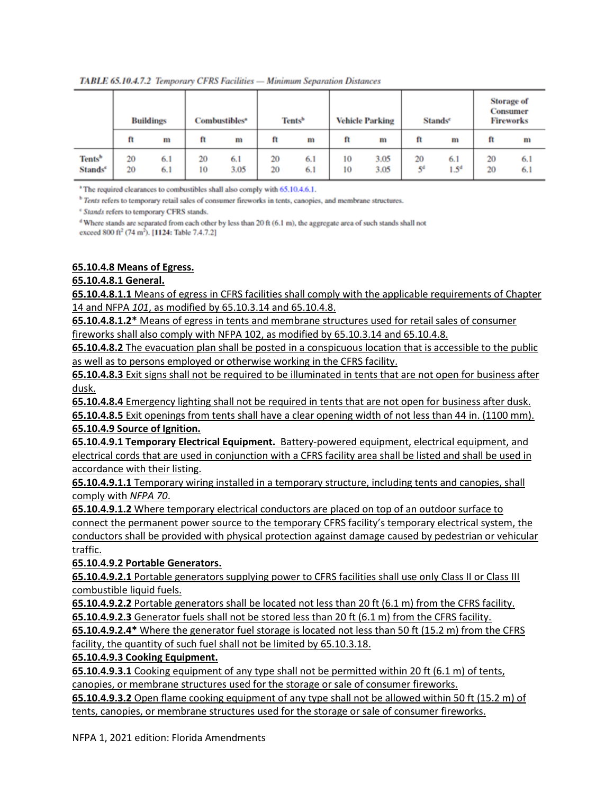|                                           | <b>Buildings</b> |            | Combustibles <sup>®</sup> |             | Tents <sup>b</sup> | <b>Vehicle Parking</b> |          | <b>Stands</b> <sup>e</sup> |                      | <b>Storage of</b><br><b>Consumer</b><br><b>Fireworks</b> |          |            |
|-------------------------------------------|------------------|------------|---------------------------|-------------|--------------------|------------------------|----------|----------------------------|----------------------|----------------------------------------------------------|----------|------------|
|                                           | ft               | m          | ft                        | m           | ft                 | m                      | ft       | m                          | ft                   | m                                                        | ft       | m          |
| Tents <sup>b</sup><br>Stands <sup>e</sup> | 20<br>20         | 6.1<br>6.1 | 20<br>10                  | 6.1<br>3.05 | 20<br>20           | 6.1<br>6.1             | 10<br>10 | 3.05<br>3.05               | 20<br>5 <sup>d</sup> | 6.1<br>$1.5^{d}$                                         | 20<br>20 | 6.1<br>6.1 |

TABLE 65.10.4.7.2 Temporary CFRS Facilities - Minimum Separation Distances

<sup>1</sup> The required clearances to combustibles shall also comply with 65.10.4.6.1.

<sup>b</sup> Tents refers to temporary retail sales of consumer fireworks in tents, canopies, and membrane structures.

<sup>e</sup> Stands refers to temporary CFRS stands.

<sup>d</sup> Where stands are separated from each other by less than 20 ft (6.1 m), the aggregate area of such stands shall not exceed 800 ft<sup>2</sup> (74 m<sup>2</sup>). [1124: Table 7.4.7.2]

#### **65.10.4.8 Means of Egress.**

#### **65.10.4.8.1 General.**

**65.10.4.8.1.1** Means of egress in CFRS facilities shall comply with the applicable requirements of Chapter 14 and NFPA *101*, as modified by 65.10.3.14 and 65.10.4.8.

**65.10.4.8.1.2\*** Means of egress in tents and membrane structures used for retail sales of consumer fireworks shall also comply with NFPA 102, as modified by 65.10.3.14 and 65.10.4.8.

**65.10.4.8.2** The evacuation plan shall be posted in a conspicuous location that is accessible to the public as well as to persons employed or otherwise working in the CFRS facility.

**65.10.4.8.3** Exit signs shall not be required to be illuminated in tents that are not open for business after dusk.

**65.10.4.8.4** Emergency lighting shall not be required in tents that are not open for business after dusk. **65.10.4.8.5** Exit openings from tents shall have a clear opening width of not less than 44 in. (1100 mm). **65.10.4.9 Source of Ignition.**

**65.10.4.9.1 Temporary Electrical Equipment.** Battery-powered equipment, electrical equipment, and electrical cords that are used in conjunction with a CFRS facility area shall be listed and shall be used in accordance with their listing.

**65.10.4.9.1.1** Temporary wiring installed in a temporary structure, including tents and canopies, shall comply with *NFPA 70*.

**65.10.4.9.1.2** Where temporary electrical conductors are placed on top of an outdoor surface to connect the permanent power source to the temporary CFRS facility's temporary electrical system, the conductors shall be provided with physical protection against damage caused by pedestrian or vehicular traffic.

#### **65.10.4.9.2 Portable Generators.**

**65.10.4.9.2.1** Portable generators supplying power to CFRS facilities shall use only Class II or Class III combustible liquid fuels.

**65.10.4.9.2.2** Portable generators shall be located not less than 20 ft (6.1 m) from the CFRS facility. **65.10.4.9.2.3** Generator fuels shall not be stored less than 20 ft (6.1 m) from the CFRS facility.

**65.10.4.9.2.4\*** Where the generator fuel storage is located not less than 50 ft (15.2 m) from the CFRS facility, the quantity of such fuel shall not be limited by 65.10.3.18.

#### **65.10.4.9.3 Cooking Equipment.**

**65.10.4.9.3.1** Cooking equipment of any type shall not be permitted within 20 ft (6.1 m) of tents, canopies, or membrane structures used for the storage or sale of consumer fireworks.

**65.10.4.9.3.2** Open flame cooking equipment of any type shall not be allowed within 50 ft (15.2 m) of tents, canopies, or membrane structures used for the storage or sale of consumer fireworks.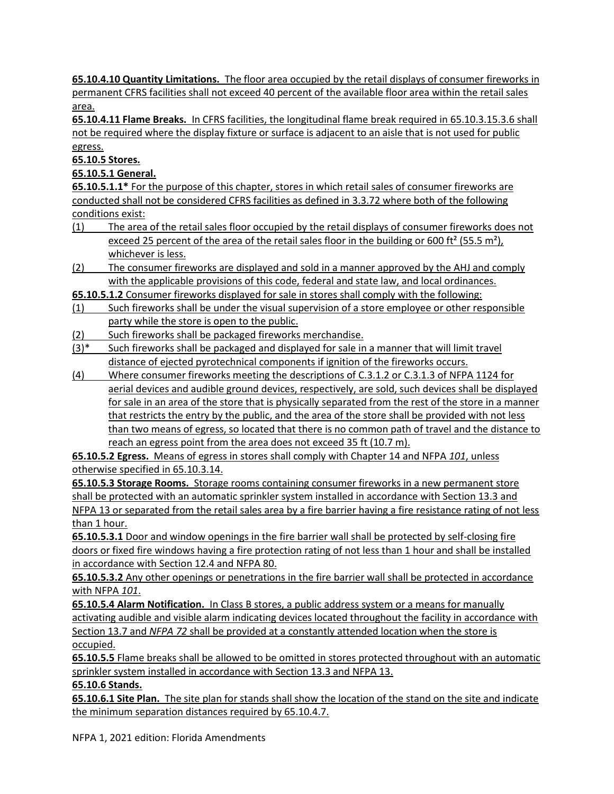**65.10.4.10 Quantity Limitations.** The floor area occupied by the retail displays of consumer fireworks in permanent CFRS facilities shall not exceed 40 percent of the available floor area within the retail sales area.

**65.10.4.11 Flame Breaks.** In CFRS facilities, the longitudinal flame break required in 65.10.3.15.3.6 shall not be required where the display fixture or surface is adjacent to an aisle that is not used for public egress.

**65.10.5 Stores.**

**65.10.5.1 General.**

**65.10.5.1.1\*** For the purpose of this chapter, stores in which retail sales of consumer fireworks are conducted shall not be considered CFRS facilities as defined in 3.3.72 where both of the following conditions exist:

- (1) The area of the retail sales floor occupied by the retail displays of consumer fireworks does not exceed 25 percent of the area of the retail sales floor in the building or 600 ft<sup>2</sup> (55.5 m<sup>2</sup>), whichever is less.
- (2) The consumer fireworks are displayed and sold in a manner approved by the AHJ and comply with the applicable provisions of this code, federal and state law, and local ordinances.

**65.10.5.1.2** Consumer fireworks displayed for sale in stores shall comply with the following:

- (1) Such fireworks shall be under the visual supervision of a store employee or other responsible party while the store is open to the public.
- (2) Such fireworks shall be packaged fireworks merchandise.
- (3)\* Such fireworks shall be packaged and displayed for sale in a manner that will limit travel distance of ejected pyrotechnical components if ignition of the fireworks occurs.
- (4) Where consumer fireworks meeting the descriptions of C.3.1.2 or C.3.1.3 of NFPA 1124 for aerial devices and audible ground devices, respectively, are sold, such devices shall be displayed for sale in an area of the store that is physically separated from the rest of the store in a manner that restricts the entry by the public, and the area of the store shall be provided with not less than two means of egress, so located that there is no common path of travel and the distance to reach an egress point from the area does not exceed 35 ft (10.7 m).

**65.10.5.2 Egress.** Means of egress in stores shall comply with Chapter 14 and NFPA *101*, unless otherwise specified in 65.10.3.14.

**65.10.5.3 Storage Rooms.** Storage rooms containing consumer fireworks in a new permanent store shall be protected with an automatic sprinkler system installed in accordance with Section 13.3 and NFPA 13 or separated from the retail sales area by a fire barrier having a fire resistance rating of not less than 1 hour.

**65.10.5.3.1** Door and window openings in the fire barrier wall shall be protected by self-closing fire doors or fixed fire windows having a fire protection rating of not less than 1 hour and shall be installed in accordance with Section 12.4 and NFPA 80.

**65.10.5.3.2** Any other openings or penetrations in the fire barrier wall shall be protected in accordance with NFPA *101*.

**65.10.5.4 Alarm Notification.** In Class B stores, a public address system or a means for manually activating audible and visible alarm indicating devices located throughout the facility in accordance with Section 13.7 and *NFPA 72* shall be provided at a constantly attended location when the store is occupied.

**65.10.5.5** Flame breaks shall be allowed to be omitted in stores protected throughout with an automatic sprinkler system installed in accordance with Section 13.3 and NFPA 13.

## **65.10.6 Stands.**

**65.10.6.1 Site Plan.** The site plan for stands shall show the location of the stand on the site and indicate the minimum separation distances required by 65.10.4.7.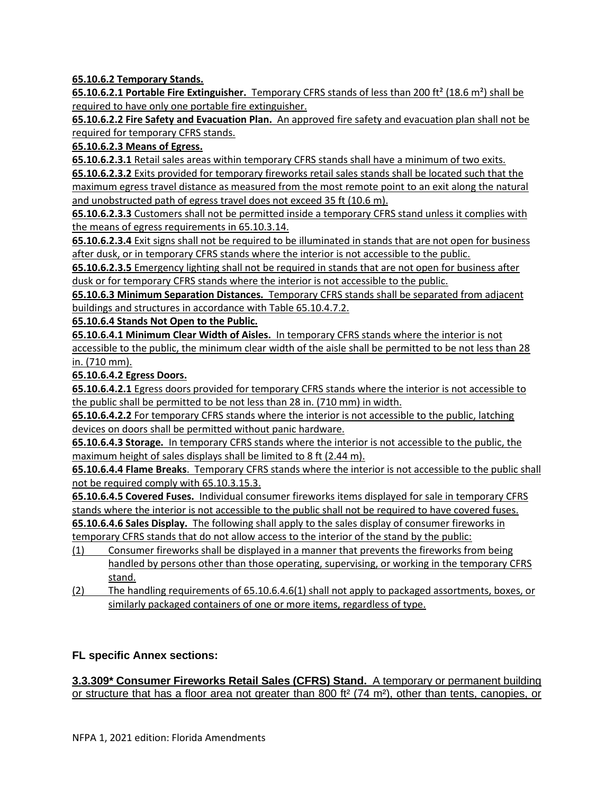**65.10.6.2 Temporary Stands.**

**65.10.6.2.1 Portable Fire Extinguisher.** Temporary CFRS stands of less than 200 ft² (18.6 m²) shall be required to have only one portable fire extinguisher.

**65.10.6.2.2 Fire Safety and Evacuation Plan.** An approved fire safety and evacuation plan shall not be required for temporary CFRS stands.

**65.10.6.2.3 Means of Egress.**

**65.10.6.2.3.1** Retail sales areas within temporary CFRS stands shall have a minimum of two exits.

**65.10.6.2.3.2** Exits provided for temporary fireworks retail sales stands shall be located such that the maximum egress travel distance as measured from the most remote point to an exit along the natural and unobstructed path of egress travel does not exceed 35 ft (10.6 m).

**65.10.6.2.3.3** Customers shall not be permitted inside a temporary CFRS stand unless it complies with the means of egress requirements in 65.10.3.14.

**65.10.6.2.3.4** Exit signs shall not be required to be illuminated in stands that are not open for business after dusk, or in temporary CFRS stands where the interior is not accessible to the public.

**65.10.6.2.3.5** Emergency lighting shall not be required in stands that are not open for business after dusk or for temporary CFRS stands where the interior is not accessible to the public.

**65.10.6.3 Minimum Separation Distances.** Temporary CFRS stands shall be separated from adjacent buildings and structures in accordance with Table 65.10.4.7.2.

**65.10.6.4 Stands Not Open to the Public.**

**65.10.6.4.1 Minimum Clear Width of Aisles.** In temporary CFRS stands where the interior is not accessible to the public, the minimum clear width of the aisle shall be permitted to be not less than 28 in. (710 mm).

**65.10.6.4.2 Egress Doors.**

**65.10.6.4.2.1** Egress doors provided for temporary CFRS stands where the interior is not accessible to the public shall be permitted to be not less than 28 in. (710 mm) in width.

**65.10.6.4.2.2** For temporary CFRS stands where the interior is not accessible to the public, latching devices on doors shall be permitted without panic hardware.

**65.10.6.4.3 Storage.** In temporary CFRS stands where the interior is not accessible to the public, the maximum height of sales displays shall be limited to 8 ft (2.44 m).

**65.10.6.4.4 Flame Breaks**.Temporary CFRS stands where the interior is not accessible to the public shall not be required comply with 65.10.3.15.3.

**65.10.6.4.5 Covered Fuses.** Individual consumer fireworks items displayed for sale in temporary CFRS stands where the interior is not accessible to the public shall not be required to have covered fuses.

**65.10.6.4.6 Sales Display.** The following shall apply to the sales display of consumer fireworks in temporary CFRS stands that do not allow access to the interior of the stand by the public:

- (1) Consumer fireworks shall be displayed in a manner that prevents the fireworks from being handled by persons other than those operating, supervising, or working in the temporary CFRS stand.
- (2) The handling requirements of 65.10.6.4.6(1) shall not apply to packaged assortments, boxes, or similarly packaged containers of one or more items, regardless of type.

## **FL specific Annex sections:**

#### **3.3.309\* Consumer Fireworks Retail Sales (CFRS) Stand.** A temporary or permanent building or structure that has a floor area not greater than 800 ft<sup>2</sup> (74 m<sup>2</sup>), other than tents, canopies, or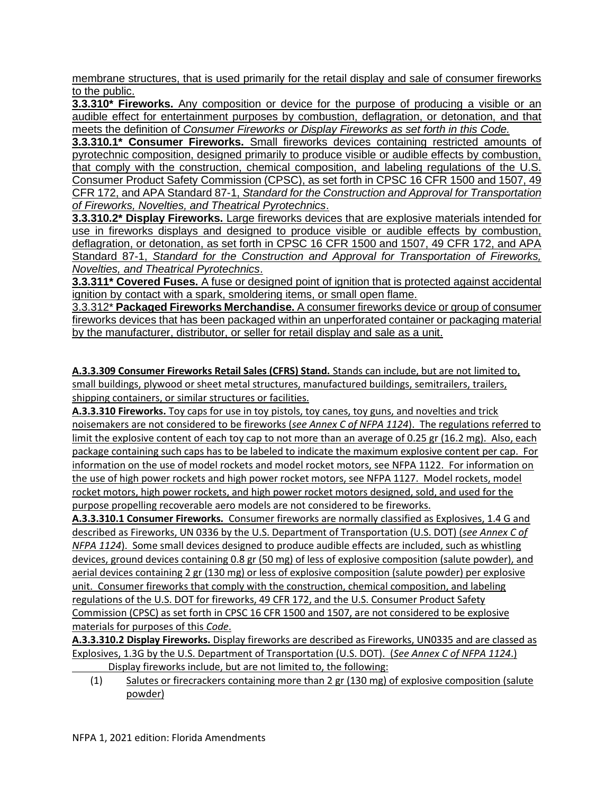membrane structures, that is used primarily for the retail display and sale of consumer fireworks to the public.

**3.3.310\* Fireworks.** Any composition or device for the purpose of producing a visible or an audible effect for entertainment purposes by combustion, deflagration, or detonation, and that meets the definition of *Consumer Fireworks or Display Fireworks as set forth in this Code.*

**3.3.310.1\* Consumer Fireworks.** Small fireworks devices containing restricted amounts of pyrotechnic composition, designed primarily to produce visible or audible effects by combustion, that comply with the construction, chemical composition, and labeling regulations of the U.S. Consumer Product Safety Commission (CPSC), as set forth in CPSC 16 CFR 1500 and 1507, 49 CFR 172, and APA Standard 87-1, *Standard for the Construction and Approval for Transportation of Fireworks, Novelties, and Theatrical Pyrotechnics*.

**3.3.310.2\* Display Fireworks.** Large fireworks devices that are explosive materials intended for use in fireworks displays and designed to produce visible or audible effects by combustion, deflagration, or detonation, as set forth in CPSC 16 CFR 1500 and 1507, 49 CFR 172, and APA Standard 87-1, *Standard for the Construction and Approval for Transportation of Fireworks, Novelties, and Theatrical Pyrotechnics*.

**3.3.311\* Covered Fuses.** A fuse or designed point of ignition that is protected against accidental ignition by contact with a spark, smoldering items, or small open flame.

3.3.312\* **Packaged Fireworks Merchandise.** A consumer fireworks device or group of consumer fireworks devices that has been packaged within an unperforated container or packaging material by the manufacturer, distributor, or seller for retail display and sale as a unit.

**A.3.3.309 Consumer Fireworks Retail Sales (CFRS) Stand.** Stands can include, but are not limited to, small buildings, plywood or sheet metal structures, manufactured buildings, semitrailers, trailers, shipping containers, or similar structures or facilities.

**A.3.3.310 Fireworks.** Toy caps for use in toy pistols, toy canes, toy guns, and novelties and trick noisemakers are not considered to be fireworks (*see Annex C of NFPA 1124*). The regulations referred to limit the explosive content of each toy cap to not more than an average of 0.25 gr (16.2 mg). Also, each package containing such caps has to be labeled to indicate the maximum explosive content per cap. For information on the use of model rockets and model rocket motors, see NFPA 1122. For information on the use of high power rockets and high power rocket motors, see NFPA 1127. Model rockets, model rocket motors, high power rockets, and high power rocket motors designed, sold, and used for the purpose propelling recoverable aero models are not considered to be fireworks.

**A.3.3.310.1 Consumer Fireworks.** Consumer fireworks are normally classified as Explosives, 1.4 G and described as Fireworks, UN 0336 by the U.S. Department of Transportation (U.S. DOT) (*see Annex C of NFPA 1124*). Some small devices designed to produce audible effects are included, such as whistling devices, ground devices containing 0.8 gr (50 mg) of less of explosive composition (salute powder), and aerial devices containing 2 gr (130 mg) or less of explosive composition (salute powder) per explosive unit. Consumer fireworks that comply with the construction, chemical composition, and labeling regulations of the U.S. DOT for fireworks, 49 CFR 172, and the U.S. Consumer Product Safety Commission (CPSC) as set forth in CPSC 16 CFR 1500 and 1507, are not considered to be explosive materials for purposes of this *Code*.

**A.3.3.310.2 Display Fireworks.** Display fireworks are described as Fireworks, UN0335 and are classed as Explosives, 1.3G by the U.S. Department of Transportation (U.S. DOT). (*See Annex C of NFPA 1124*.)

Display fireworks include, but are not limited to, the following:

(1) Salutes or firecrackers containing more than 2 gr (130 mg) of explosive composition (salute powder)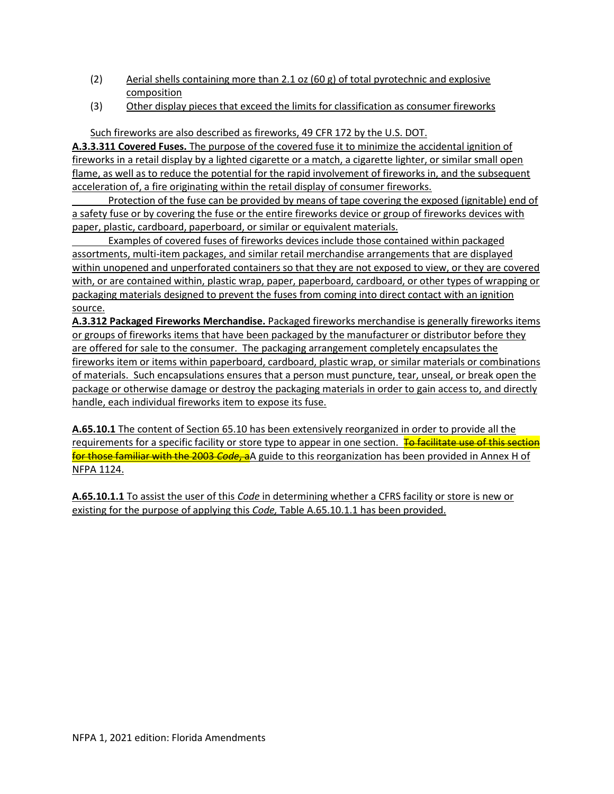- (2) Aerial shells containing more than 2.1 oz  $(60 g)$  of total pyrotechnic and explosive composition
- (3) Other display pieces that exceed the limits for classification as consumer fireworks

Such fireworks are also described as fireworks, 49 CFR 172 by the U.S. DOT.

**A.3.3.311 Covered Fuses.** The purpose of the covered fuse it to minimize the accidental ignition of fireworks in a retail display by a lighted cigarette or a match, a cigarette lighter, or similar small open flame, as well as to reduce the potential for the rapid involvement of fireworks in, and the subsequent acceleration of, a fire originating within the retail display of consumer fireworks.

Protection of the fuse can be provided by means of tape covering the exposed (ignitable) end of a safety fuse or by covering the fuse or the entire fireworks device or group of fireworks devices with paper, plastic, cardboard, paperboard, or similar or equivalent materials.

Examples of covered fuses of fireworks devices include those contained within packaged assortments, multi-item packages, and similar retail merchandise arrangements that are displayed within unopened and unperforated containers so that they are not exposed to view, or they are covered with, or are contained within, plastic wrap, paper, paperboard, cardboard, or other types of wrapping or packaging materials designed to prevent the fuses from coming into direct contact with an ignition source.

**A.3.312 Packaged Fireworks Merchandise.** Packaged fireworks merchandise is generally fireworks items or groups of fireworks items that have been packaged by the manufacturer or distributor before they are offered for sale to the consumer. The packaging arrangement completely encapsulates the fireworks item or items within paperboard, cardboard, plastic wrap, or similar materials or combinations of materials. Such encapsulations ensures that a person must puncture, tear, unseal, or break open the package or otherwise damage or destroy the packaging materials in order to gain access to, and directly handle, each individual fireworks item to expose its fuse.

**A.65.10.1** The content of Section 65.10 has been extensively reorganized in order to provide all the requirements for a specific facility or store type to appear in one section. To facilitate use of this section for those familiar with the 2003 *Code*, aA guide to this reorganization has been provided in Annex H of NFPA 1124.

**A.65.10.1.1** To assist the user of this *Code* in determining whether a CFRS facility or store is new or existing for the purpose of applying this *Code,* Table A.65.10.1.1 has been provided.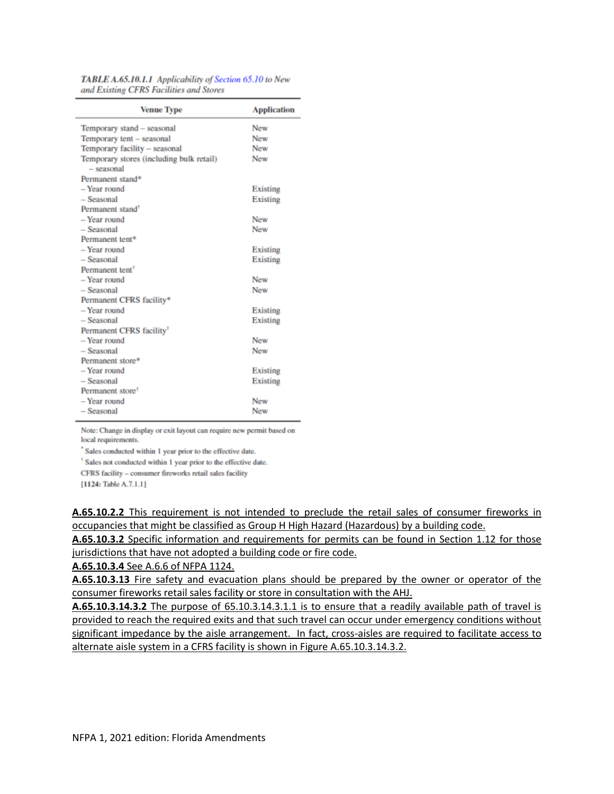| <b>Venue Type</b>                                        | <b>Application</b> |
|----------------------------------------------------------|--------------------|
| Temporary stand - seasonal                               | New                |
| Temporary tent - seasonal                                | New                |
| Temporary facility - seasonal                            | New                |
| Temporary stores (including bulk retail)<br>$-$ seasonal | New                |
| Permanent stand*                                         |                    |
| - Year round                                             | Existing           |
| $-$ Seasonal                                             | Existing           |
| Permanent stand <sup>†</sup>                             |                    |
| - Year round                                             | New                |
| $-$ Seasonal                                             | New                |
| Permanent tent*                                          |                    |
| - Year round                                             | Existing           |
| $-$ Seasonal                                             | Existing           |
| Permanent tent <sup>†</sup>                              |                    |
| - Year round                                             | <b>New</b>         |
| - Seasonal                                               | <b>New</b>         |
| Permanent CFRS facility*                                 |                    |
| - Year round                                             | Existing           |
| - Seasonal                                               | Existing           |
| Permanent CFRS facility <sup>†</sup>                     |                    |
| - Year round                                             | <b>New</b>         |
| $-$ Seasonal                                             | New                |
| Permanent store*                                         |                    |
| - Year round                                             | Existing           |
| $-$ Seasonal                                             | Existing           |
| Permanent store <sup>†</sup>                             |                    |
| - Year round                                             | New                |
| $-$ Seasonal                                             | New                |

TABLE A.65.10.1.1 Applicability of Section 65.10 to New and Existing CFRS Facilities and Stores

Note: Change in display or exit layout can require new permit based on local requirements.

Sales conducted within 1 year prior to the effective date.

<sup>†</sup> Sales not conducted within 1 year prior to the effective date.

CFRS facility - consumer fireworks retail sales facility

[1124: Table A.7.1.1]

**A.65.10.2.2** This requirement is not intended to preclude the retail sales of consumer fireworks in occupancies that might be classified as Group H High Hazard (Hazardous) by a building code.

**A.65.10.3.2** Specific information and requirements for permits can be found in Section 1.12 for those jurisdictions that have not adopted a building code or fire code.

**A.65.10.3.4** See A.6.6 of NFPA 1124.

**A.65.10.3.13** Fire safety and evacuation plans should be prepared by the owner or operator of the consumer fireworks retail sales facility or store in consultation with the AHJ.

**A.65.10.3.14.3.2** The purpose of 65.10.3.14.3.1.1 is to ensure that a readily available path of travel is provided to reach the required exits and that such travel can occur under emergency conditions without significant impedance by the aisle arrangement. In fact, cross-aisles are required to facilitate access to alternate aisle system in a CFRS facility is shown in Figure A.65.10.3.14.3.2.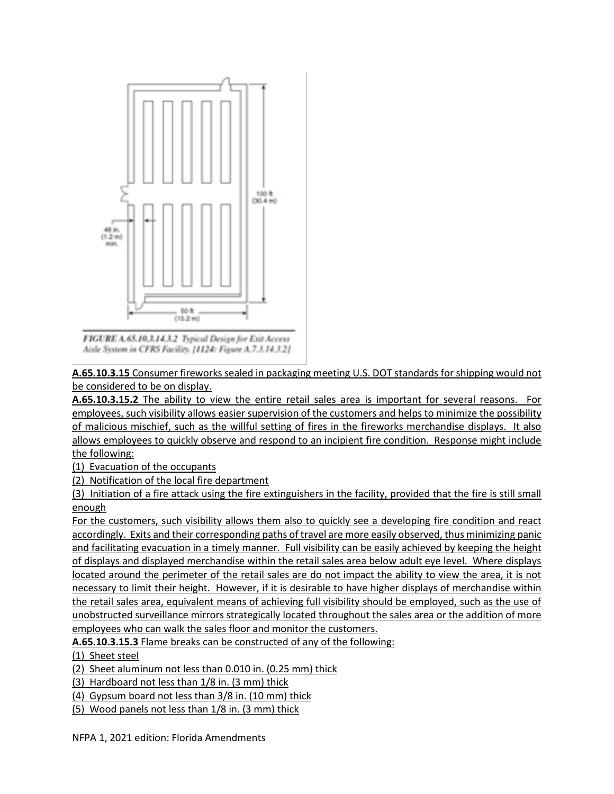

FIGURE A.65,10.3.14.3.2 Typical Design for Exit Access Aisle System in CFRS Facility, [1124: Figure A.7.3.14.3.2]

**A.65.10.3.15** Consumer fireworks sealed in packaging meeting U.S. DOT standards for shipping would not be considered to be on display.

**A.65.10.3.15.2** The ability to view the entire retail sales area is important for several reasons. For employees, such visibility allows easier supervision of the customers and helps to minimize the possibility of malicious mischief, such as the willful setting of fires in the fireworks merchandise displays. It also allows employees to quickly observe and respond to an incipient fire condition. Response might include the following:

(1) Evacuation of the occupants

(2) Notification of the local fire department

(3) Initiation of a fire attack using the fire extinguishers in the facility, provided that the fire is still small enough

For the customers, such visibility allows them also to quickly see a developing fire condition and react accordingly. Exits and their corresponding paths of travel are more easily observed, thus minimizing panic and facilitating evacuation in a timely manner. Full visibility can be easily achieved by keeping the height of displays and displayed merchandise within the retail sales area below adult eye level. Where displays located around the perimeter of the retail sales are do not impact the ability to view the area, it is not necessary to limit their height. However, if it is desirable to have higher displays of merchandise within the retail sales area, equivalent means of achieving full visibility should be employed, such as the use of unobstructed surveillance mirrors strategically located throughout the sales area or the addition of more employees who can walk the sales floor and monitor the customers.

**A.65.10.3.15.3** Flame breaks can be constructed of any of the following:

#### (1) Sheet steel

(2) Sheet aluminum not less than 0.010 in. (0.25 mm) thick

(3) Hardboard not less than 1/8 in. (3 mm) thick

(4) Gypsum board not less than 3/8 in. (10 mm) thick

(5) Wood panels not less than 1/8 in. (3 mm) thick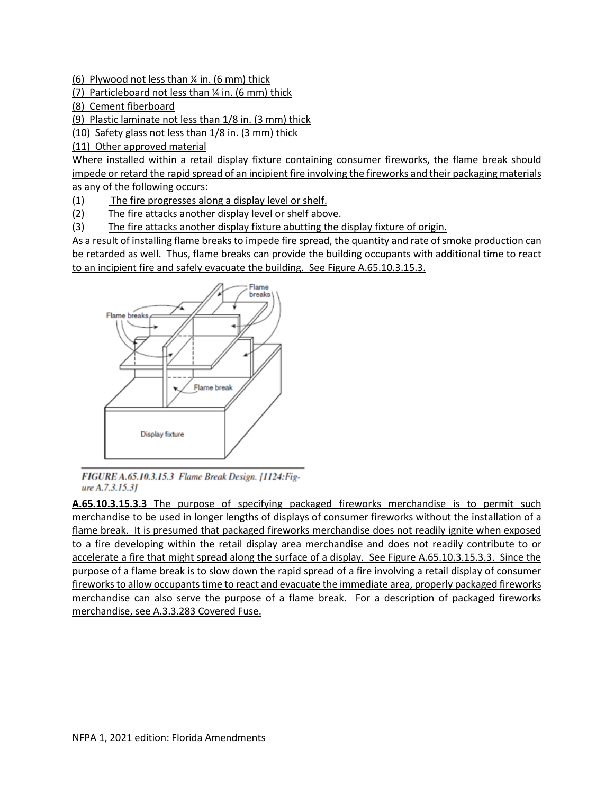(6) Plywood not less than  $\frac{1}{4}$  in. (6 mm) thick

(7) Particleboard not less than ¼ in. (6 mm) thick

(8) Cement fiberboard

(9) Plastic laminate not less than 1/8 in. (3 mm) thick

(10) Safety glass not less than 1/8 in. (3 mm) thick

(11) Other approved material

Where installed within a retail display fixture containing consumer fireworks, the flame break should impede or retard the rapid spread of an incipient fire involving the fireworks and their packaging materials as any of the following occurs:

(1) The fire progresses along a display level or shelf.

- (2) The fire attacks another display level or shelf above.
- (3) The fire attacks another display fixture abutting the display fixture of origin.

As a result of installing flame breaks to impede fire spread, the quantity and rate of smoke production can be retarded as well. Thus, flame breaks can provide the building occupants with additional time to react to an incipient fire and safely evacuate the building. See Figure A.65.10.3.15.3.



FIGURE A.65.10.3.15.3 Flame Break Design. [1124:Figure A.7.3.15.31

**A.65.10.3.15.3.3** The purpose of specifying packaged fireworks merchandise is to permit such merchandise to be used in longer lengths of displays of consumer fireworks without the installation of a flame break. It is presumed that packaged fireworks merchandise does not readily ignite when exposed to a fire developing within the retail display area merchandise and does not readily contribute to or accelerate a fire that might spread along the surface of a display. See Figure A.65.10.3.15.3.3. Since the purpose of a flame break is to slow down the rapid spread of a fire involving a retail display of consumer fireworks to allow occupants time to react and evacuate the immediate area, properly packaged fireworks merchandise can also serve the purpose of a flame break. For a description of packaged fireworks merchandise, see A.3.3.283 Covered Fuse.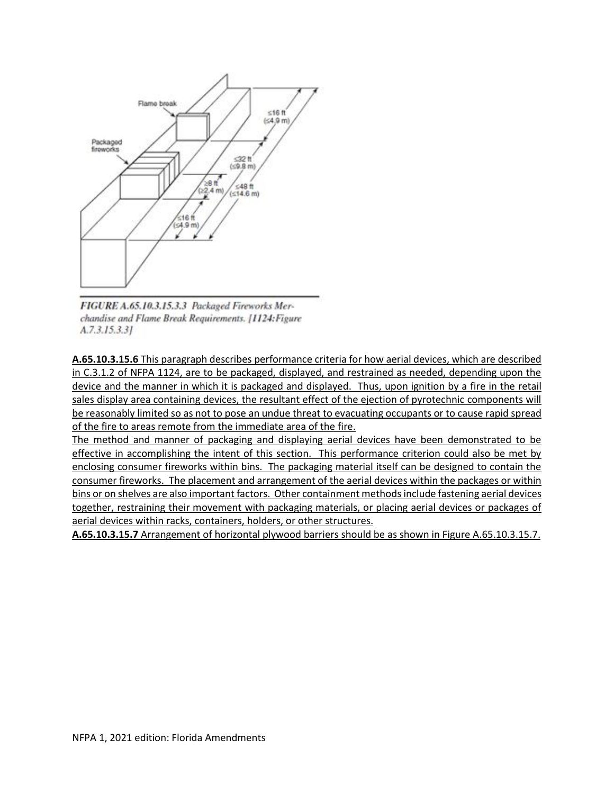

FIGURE A.65.10.3.15.3.3 Packaged Fireworks Merchandise and Flame Break Requirements. [1124: Figure  $A.7.3.15.3.31$ 

**A.65.10.3.15.6** This paragraph describes performance criteria for how aerial devices, which are described in C.3.1.2 of NFPA 1124, are to be packaged, displayed, and restrained as needed, depending upon the device and the manner in which it is packaged and displayed. Thus, upon ignition by a fire in the retail sales display area containing devices, the resultant effect of the ejection of pyrotechnic components will be reasonably limited so as not to pose an undue threat to evacuating occupants or to cause rapid spread of the fire to areas remote from the immediate area of the fire.

The method and manner of packaging and displaying aerial devices have been demonstrated to be effective in accomplishing the intent of this section. This performance criterion could also be met by enclosing consumer fireworks within bins. The packaging material itself can be designed to contain the consumer fireworks. The placement and arrangement of the aerial devices within the packages or within bins or on shelves are also important factors. Other containment methods include fastening aerial devices together, restraining their movement with packaging materials, or placing aerial devices or packages of aerial devices within racks, containers, holders, or other structures.

**A.65.10.3.15.7** Arrangement of horizontal plywood barriers should be as shown in Figure A.65.10.3.15.7.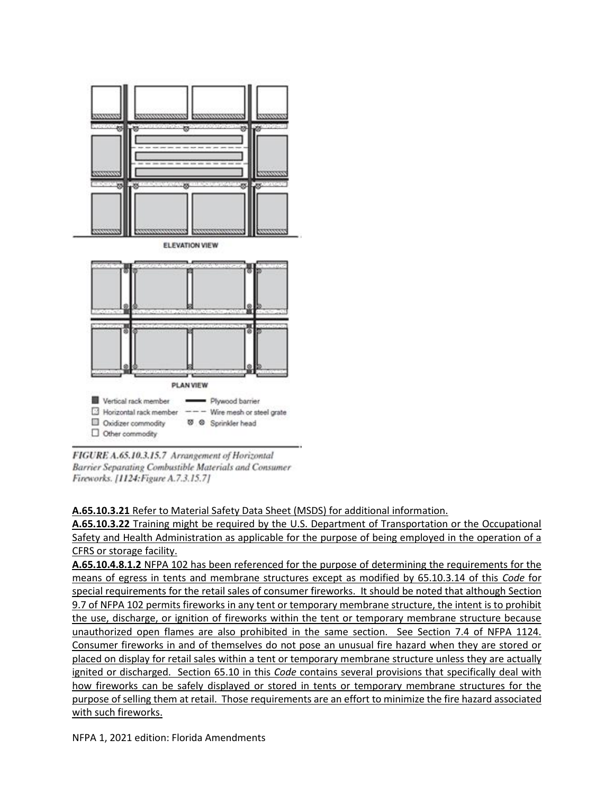

FIGURE A.65.10.3.15.7 Arrangement of Horizontal Barrier Separating Combustible Materials and Consumer Fireworks. [1124: Figure A.7.3.15.7]

### **A.65.10.3.21** Refer to Material Safety Data Sheet (MSDS) for additional information.

**A.65.10.3.22** Training might be required by the U.S. Department of Transportation or the Occupational Safety and Health Administration as applicable for the purpose of being employed in the operation of a CFRS or storage facility.

**A.65.10.4.8.1.2** NFPA 102 has been referenced for the purpose of determining the requirements for the means of egress in tents and membrane structures except as modified by 65.10.3.14 of this *Code* for special requirements for the retail sales of consumer fireworks. It should be noted that although Section 9.7 of NFPA 102 permits fireworks in any tent or temporary membrane structure, the intent is to prohibit the use, discharge, or ignition of fireworks within the tent or temporary membrane structure because unauthorized open flames are also prohibited in the same section. See Section 7.4 of NFPA 1124. Consumer fireworks in and of themselves do not pose an unusual fire hazard when they are stored or placed on display for retail sales within a tent or temporary membrane structure unless they are actually ignited or discharged. Section 65.10 in this *Code* contains several provisions that specifically deal with how fireworks can be safely displayed or stored in tents or temporary membrane structures for the purpose of selling them at retail. Those requirements are an effort to minimize the fire hazard associated with such fireworks.